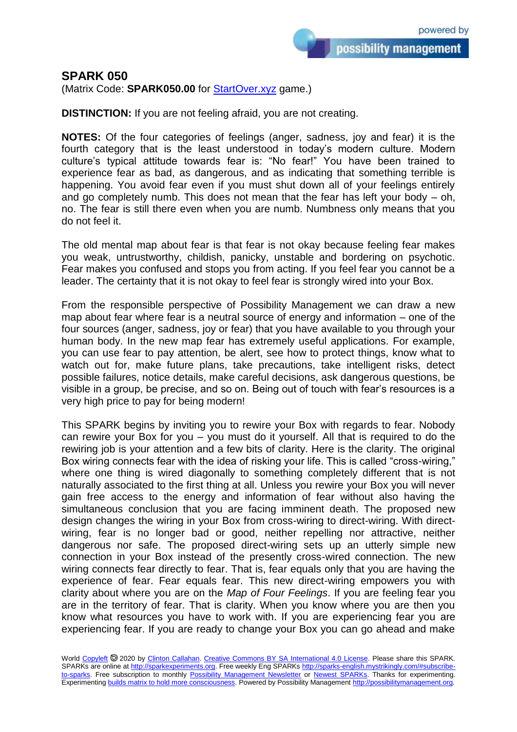## **SPARK 050**

(Matrix Code: **SPARK050.00** for **StartOver.xyz** game.)

**DISTINCTION:** If you are not feeling afraid, you are not creating.

**NOTES:** Of the four categories of feelings (anger, sadness, joy and fear) it is the fourth category that is the least understood in today's modern culture. Modern culture's typical attitude towards fear is: "No fear!" You have been trained to experience fear as bad, as dangerous, and as indicating that something terrible is happening. You avoid fear even if you must shut down all of your feelings entirely and go completely numb. This does not mean that the fear has left your body  $-$  oh, no. The fear is still there even when you are numb. Numbness only means that you do not feel it.

The old mental map about fear is that fear is not okay because feeling fear makes you weak, untrustworthy, childish, panicky, unstable and bordering on psychotic. Fear makes you confused and stops you from acting. If you feel fear you cannot be a leader. The certainty that it is not okay to feel fear is strongly wired into your Box.

From the responsible perspective of Possibility Management we can draw a new map about fear where fear is a neutral source of energy and information – one of the four sources (anger, sadness, joy or fear) that you have available to you through your human body. In the new map fear has extremely useful applications. For example, you can use fear to pay attention, be alert, see how to protect things, know what to watch out for, make future plans, take precautions, take intelligent risks, detect possible failures, notice details, make careful decisions, ask dangerous questions, be visible in a group, be precise, and so on. Being out of touch with fear's resources is a very high price to pay for being modern!

This SPARK begins by inviting you to rewire your Box with regards to fear. Nobody can rewire your Box for you – you must do it yourself. All that is required to do the rewiring job is your attention and a few bits of clarity. Here is the clarity. The original Box wiring connects fear with the idea of risking your life. This is called "cross-wiring," where one thing is wired diagonally to something completely different that is not naturally associated to the first thing at all. Unless you rewire your Box you will never gain free access to the energy and information of fear without also having the simultaneous conclusion that you are facing imminent death. The proposed new design changes the wiring in your Box from cross-wiring to direct-wiring. With directwiring, fear is no longer bad or good, neither repelling nor attractive, neither dangerous nor safe. The proposed direct-wiring sets up an utterly simple new connection in your Box instead of the presently cross-wired connection. The new wiring connects fear directly to fear. That is, fear equals only that you are having the experience of fear. Fear equals fear. This new direct-wiring empowers you with clarity about where you are on the *Map of Four Feelings*. If you are feeling fear you are in the territory of fear. That is clarity. When you know where you are then you know what resources you have to work with. If you are experiencing fear you are experiencing fear. If you are ready to change your Box you can go ahead and make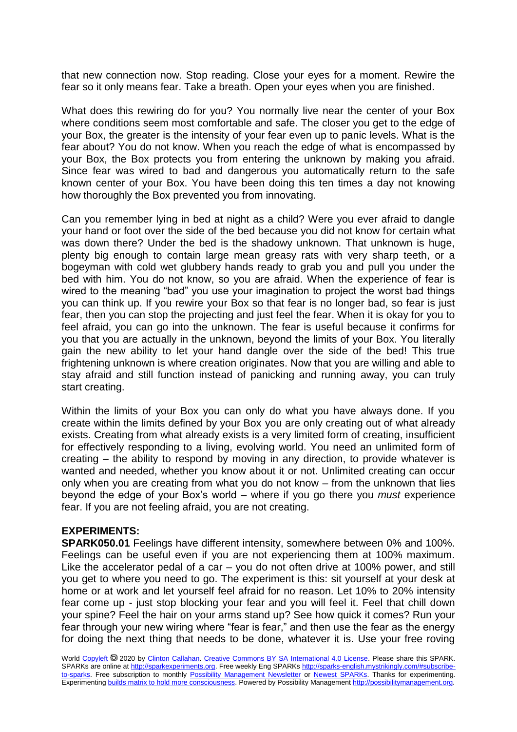that new connection now. Stop reading. Close your eyes for a moment. Rewire the fear so it only means fear. Take a breath. Open your eyes when you are finished.

What does this rewiring do for you? You normally live near the center of your Box where conditions seem most comfortable and safe. The closer you get to the edge of your Box, the greater is the intensity of your fear even up to panic levels. What is the fear about? You do not know. When you reach the edge of what is encompassed by your Box, the Box protects you from entering the unknown by making you afraid. Since fear was wired to bad and dangerous you automatically return to the safe known center of your Box. You have been doing this ten times a day not knowing how thoroughly the Box prevented you from innovating.

Can you remember lying in bed at night as a child? Were you ever afraid to dangle your hand or foot over the side of the bed because you did not know for certain what was down there? Under the bed is the shadowy unknown. That unknown is huge, plenty big enough to contain large mean greasy rats with very sharp teeth, or a bogeyman with cold wet glubbery hands ready to grab you and pull you under the bed with him. You do not know, so you are afraid. When the experience of fear is wired to the meaning "bad" you use your imagination to project the worst bad things you can think up. If you rewire your Box so that fear is no longer bad, so fear is just fear, then you can stop the projecting and just feel the fear. When it is okay for you to feel afraid, you can go into the unknown. The fear is useful because it confirms for you that you are actually in the unknown, beyond the limits of your Box. You literally gain the new ability to let your hand dangle over the side of the bed! This true frightening unknown is where creation originates. Now that you are willing and able to stay afraid and still function instead of panicking and running away, you can truly start creating.

Within the limits of your Box you can only do what you have always done. If you create within the limits defined by your Box you are only creating out of what already exists. Creating from what already exists is a very limited form of creating, insufficient for effectively responding to a living, evolving world. You need an unlimited form of creating – the ability to respond by moving in any direction, to provide whatever is wanted and needed, whether you know about it or not. Unlimited creating can occur only when you are creating from what you do not know – from the unknown that lies beyond the edge of your Box's world – where if you go there you *must* experience fear. If you are not feeling afraid, you are not creating.

## **EXPERIMENTS:**

**SPARK050.01** Feelings have different intensity, somewhere between 0% and 100%. Feelings can be useful even if you are not experiencing them at 100% maximum. Like the accelerator pedal of a car – you do not often drive at 100% power, and still you get to where you need to go. The experiment is this: sit yourself at your desk at home or at work and let yourself feel afraid for no reason. Let 10% to 20% intensity fear come up - just stop blocking your fear and you will feel it. Feel that chill down your spine? Feel the hair on your arms stand up? See how quick it comes? Run your fear through your new wiring where "fear is fear," and then use the fear as the energy for doing the next thing that needs to be done, whatever it is. Use your free roving

World [Copyleft](https://en.wikipedia.org/wiki/Copyleft) @ 2020 by [Clinton Callahan.](http://clintoncallahan.mystrikingly.com/) [Creative Commons BY SA International 4.0 License.](https://creativecommons.org/licenses/by-sa/4.0/) Please share this SPARK. SPARKs are online at [http://sparkexperiments.org.](http://sparks-english.mystrikingly.com/) Free weekly Eng SPARKs [http://sparks-english.mystrikingly.com/#subscribe](http://sparks-english.mystrikingly.com/#subscribe-to-sparks)[to-sparks.](http://sparks-english.mystrikingly.com/#subscribe-to-sparks) Free subscription to monthly [Possibility Management Newsletter](https://possibilitymanagement.org/news/) or [Newest SPARKs.](https://www.clintoncallahan.org/newsletter-1) Thanks for experimenting. Experimentin[g builds matrix to hold more consciousness.](http://spaceport.mystrikingly.com/) Powered by Possibility Managemen[t http://possibilitymanagement.org.](http://possibilitymanagement.org/)